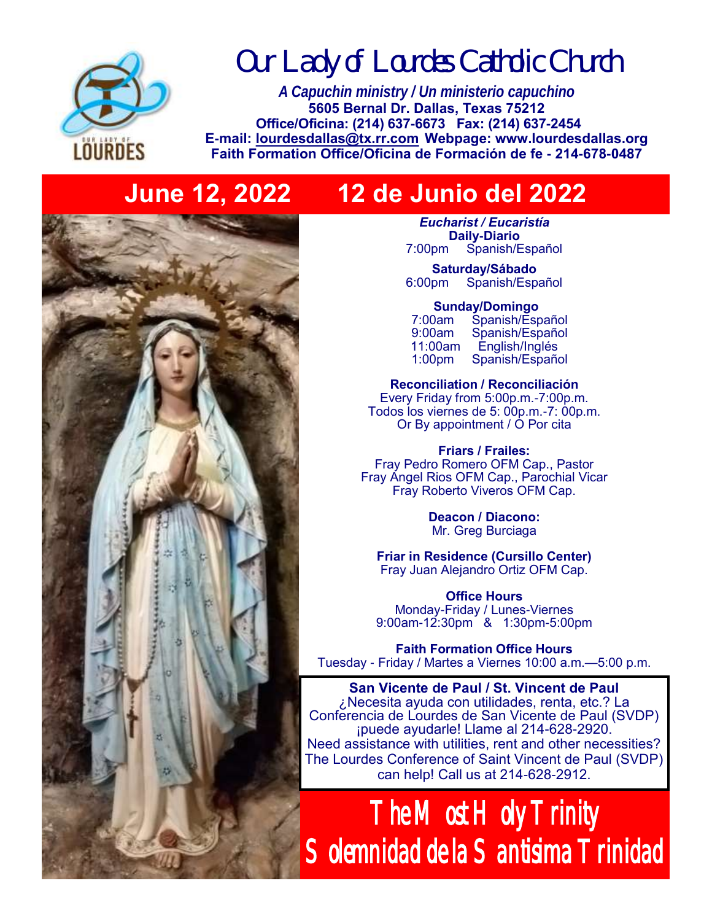

*Our Lady of Lourdes Catholic Church*

*A Capuchin ministry / Un ministerio capuchino* **5605 Bernal Dr. Dallas, Texas 75212 Office/Oficina: (214) 637-6673 Fax: (214) 637-2454 E-mail: [lourdesdallas@tx.rr.com](mailto:lourdesdallas@tx.rr.com) Webpage: www.lourdesdallas.org Faith Formation Office/Oficina de Formación de fe - 214-678-0487**

## **June 12, 2022 12 de Junio del 2022**

*Eucharist / Eucaristía* **Daily-Diario**  7:00pm Spanish/Español

**Saturday/Sábado**  6:00pm Spanish/Español

**Sunday/Domingo** 

| 7:00am             | Spanish/Español |
|--------------------|-----------------|
| 9:00am             | Spanish/Español |
| 11:00am            | English/Inglés  |
| 1:00 <sub>pm</sub> | Spanish/Español |

**Reconciliation / Reconciliación** Every Friday from 5:00p.m.-7:00p.m. Todos los viernes de 5: 00p.m.-7: 00p.m. Or By appointment / O Por cita

**Friars / Frailes:** Fray Pedro Romero OFM Cap., Pastor Fray Angel Rios OFM Cap., Parochial Vicar Fray Roberto Viveros OFM Cap.

> **Deacon / Diacono:** Mr. Greg Burciaga

**Friar in Residence (Cursillo Center)** Fray Juan Alejandro Ortiz OFM Cap.

**Office Hours** Monday-Friday / Lunes-Viernes 9:00am-12:30pm & 1:30pm-5:00pm

**Faith Formation Office Hours** Tuesday - Friday / Martes a Viernes 10:00 a.m.—5:00 p.m.

**San Vicente de Paul / St. Vincent de Paul**  ¿Necesita ayuda con utilidades, renta, etc.? La Conferencia de Lourdes de San Vicente de Paul (SVDP) ¡puede ayudarle! Llame al 214-628-2920. Need assistance with utilities, rent and other necessities? The Lourdes Conference of Saint Vincent de Paul (SVDP) can help! Call us at 214-628-2912.

The Most Holy Trinity Solemnidad de la Santisima Trinidad

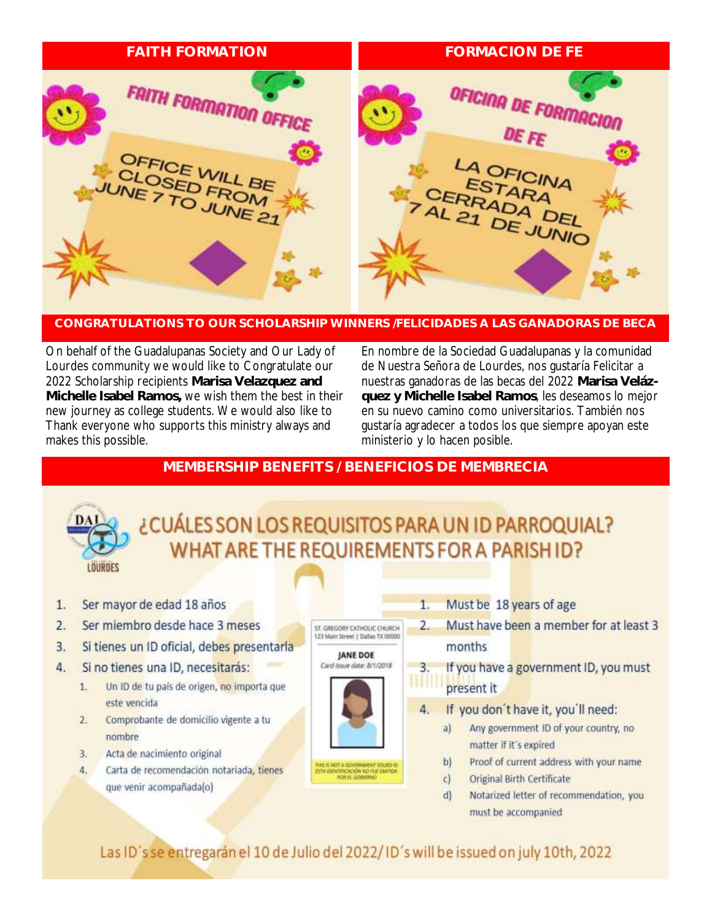

### CONGRATUI ATIONS TO OUR SCHOLARSHIP WINNERS (FELICIDADES A LAS GANADORAS DE BECA

On behalf of the Guadalupanas Society and Our Lady of Lourdes community we would like to Congratulate our 2022 Scholarship recipients Marisa Velazquez and Michelle Isabel Ramos, we wish them the best in their new journey as college students. We would also like to Thank everyone who supports this ministry always and makes this possible.

En nombre de la Sociedad Guadalupanas y la comunidad de Nuestra Señora de Lourdes, nos gustaría Felicitar a nuestras ganadoras de las becas del 2022 Marisa Velázquez y Michelle Isabel Ramos, les deseamos lo mejor en su nuevo camino como universitarios. También nos gustaría agradecer a todos los que siempre apoyan este ministerio y lo hacen posible.

## MEMBERSHIP BENEFITS / BENEFICIOS DE MEMBRECIA

# LOURDES

## ¿CUÁLES SON LOS REQUISITOS PARA UN ID PARROQUIAL? WHAT ARE THE REQUIREMENTS FOR A PARISHID?

- Ser mayor de edad 18 años  $1.$
- $2.$ Ser miembro desde hace 3 meses
- Si tienes un ID oficial, debes presentarla 3.
- 4. Si no tienes una ID, necesitarás:
	- Un ID de tu país de origen, no importa que  $1.$ este vencida
	- Comprobante de domicilio vigente a tu  $2.$ nombre
	- 3. Acta de nacimiento original
	- Carta de recomendación notariada, tienes 4. que venir acompañada(o)



- Must be 18 years of age
- Must have been a member for at least 3 months
- If you have a government ID, you must present it
- If you don't have it, you'll need:
	- $a)$ Any government ID of your country, no matter if it's expired
	- Proof of current address with your name b)
	- $c)$ Original Birth Certificate
	- $d$ Notarized letter of recommendation, you must be accompanied

Las ID's se entregarán el 10 de Julio del 2022/ID's will be issued on july 10th, 2022